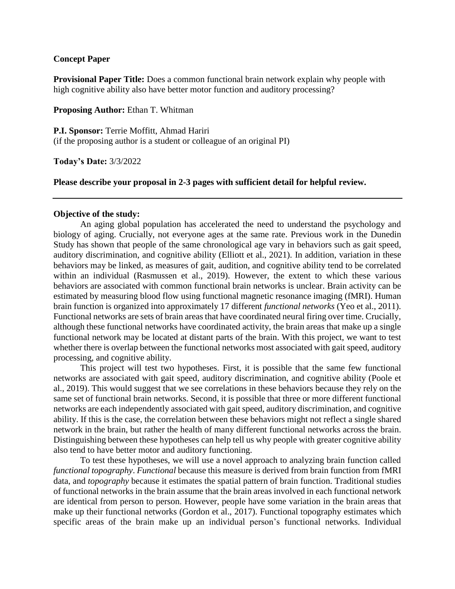### **Concept Paper**

**Provisional Paper Title:** Does a common functional brain network explain why people with high cognitive ability also have better motor function and auditory processing?

**Proposing Author:** Ethan T. Whitman

**P.I. Sponsor:** Terrie Moffitt, Ahmad Hariri (if the proposing author is a student or colleague of an original PI)

**Today's Date:** 3/3/2022

#### **Please describe your proposal in 2-3 pages with sufficient detail for helpful review.**

#### **Objective of the study:**

An aging global population has accelerated the need to understand the psychology and biology of aging. Crucially, not everyone ages at the same rate. Previous work in the Dunedin Study has shown that people of the same chronological age vary in behaviors such as gait speed, auditory discrimination, and cognitive ability (Elliott et al., 2021). In addition, variation in these behaviors may be linked, as measures of gait, audition, and cognitive ability tend to be correlated within an individual (Rasmussen et al., 2019). However, the extent to which these various behaviors are associated with common functional brain networks is unclear. Brain activity can be estimated by measuring blood flow using functional magnetic resonance imaging (fMRI). Human brain function is organized into approximately 17 different *functional networks* (Yeo et al., 2011). Functional networks are sets of brain areas that have coordinated neural firing over time. Crucially, although these functional networks have coordinated activity, the brain areas that make up a single functional network may be located at distant parts of the brain. With this project, we want to test whether there is overlap between the functional networks most associated with gait speed, auditory processing, and cognitive ability.

This project will test two hypotheses. First, it is possible that the same few functional networks are associated with gait speed, auditory discrimination, and cognitive ability (Poole et al., 2019). This would suggest that we see correlations in these behaviors because they rely on the same set of functional brain networks. Second, it is possible that three or more different functional networks are each independently associated with gait speed, auditory discrimination, and cognitive ability. If this is the case, the correlation between these behaviors might not reflect a single shared network in the brain, but rather the health of many different functional networks across the brain. Distinguishing between these hypotheses can help tell us why people with greater cognitive ability also tend to have better motor and auditory functioning.

To test these hypotheses, we will use a novel approach to analyzing brain function called *functional topography*. *Functional* because this measure is derived from brain function from fMRI data, and *topography* because it estimates the spatial pattern of brain function. Traditional studies of functional networks in the brain assume that the brain areas involved in each functional network are identical from person to person. However, people have some variation in the brain areas that make up their functional networks (Gordon et al., 2017). Functional topography estimates which specific areas of the brain make up an individual person's functional networks. Individual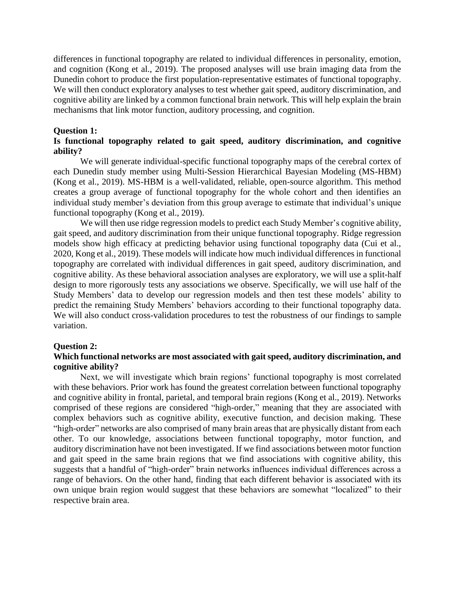differences in functional topography are related to individual differences in personality, emotion, and cognition (Kong et al., 2019). The proposed analyses will use brain imaging data from the Dunedin cohort to produce the first population-representative estimates of functional topography. We will then conduct exploratory analyses to test whether gait speed, auditory discrimination, and cognitive ability are linked by a common functional brain network. This will help explain the brain mechanisms that link motor function, auditory processing, and cognition.

#### **Question 1:**

# **Is functional topography related to gait speed, auditory discrimination, and cognitive ability?**

We will generate individual-specific functional topography maps of the cerebral cortex of each Dunedin study member using Multi-Session Hierarchical Bayesian Modeling (MS-HBM) (Kong et al., 2019). MS-HBM is a well-validated, reliable, open-source algorithm. This method creates a group average of functional topography for the whole cohort and then identifies an individual study member's deviation from this group average to estimate that individual's unique functional topography (Kong et al., 2019).

We will then use ridge regression models to predict each Study Member's cognitive ability, gait speed, and auditory discrimination from their unique functional topography. Ridge regression models show high efficacy at predicting behavior using functional topography data (Cui et al., 2020, Kong et al., 2019). These models will indicate how much individual differences in functional topography are correlated with individual differences in gait speed, auditory discrimination, and cognitive ability. As these behavioral association analyses are exploratory, we will use a split-half design to more rigorously tests any associations we observe. Specifically, we will use half of the Study Members' data to develop our regression models and then test these models' ability to predict the remaining Study Members' behaviors according to their functional topography data. We will also conduct cross-validation procedures to test the robustness of our findings to sample variation.

#### **Question 2:**

### **Which functional networks are most associated with gait speed, auditory discrimination, and cognitive ability?**

Next, we will investigate which brain regions' functional topography is most correlated with these behaviors. Prior work has found the greatest correlation between functional topography and cognitive ability in frontal, parietal, and temporal brain regions (Kong et al., 2019). Networks comprised of these regions are considered "high-order*,*" meaning that they are associated with complex behaviors such as cognitive ability, executive function, and decision making. These "high-order" networks are also comprised of many brain areas that are physically distant from each other. To our knowledge, associations between functional topography, motor function, and auditory discrimination have not been investigated. If we find associations between motor function and gait speed in the same brain regions that we find associations with cognitive ability, this suggests that a handful of "high-order" brain networks influences individual differences across a range of behaviors. On the other hand, finding that each different behavior is associated with its own unique brain region would suggest that these behaviors are somewhat "localized" to their respective brain area.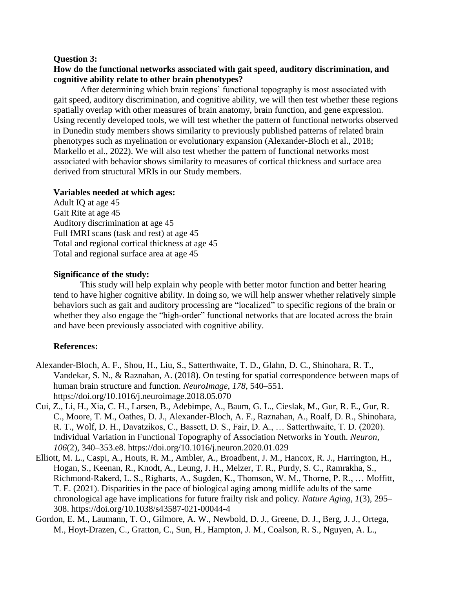### **Question 3:**

# **How do the functional networks associated with gait speed, auditory discrimination, and cognitive ability relate to other brain phenotypes?**

After determining which brain regions' functional topography is most associated with gait speed, auditory discrimination, and cognitive ability, we will then test whether these regions spatially overlap with other measures of brain anatomy, brain function, and gene expression. Using recently developed tools, we will test whether the pattern of functional networks observed in Dunedin study members shows similarity to previously published patterns of related brain phenotypes such as myelination or evolutionary expansion (Alexander-Bloch et al., 2018; Markello et al., 2022). We will also test whether the pattern of functional networks most associated with behavior shows similarity to measures of cortical thickness and surface area derived from structural MRIs in our Study members.

# **Variables needed at which ages:**

Adult IQ at age 45 Gait Rite at age 45 Auditory discrimination at age 45 Full fMRI scans (task and rest) at age 45 Total and regional cortical thickness at age 45 Total and regional surface area at age 45

# **Significance of the study:**

This study will help explain why people with better motor function and better hearing tend to have higher cognitive ability. In doing so, we will help answer whether relatively simple behaviors such as gait and auditory processing are "localized" to specific regions of the brain or whether they also engage the "high-order" functional networks that are located across the brain and have been previously associated with cognitive ability.

# **References:**

- Alexander-Bloch, A. F., Shou, H., Liu, S., Satterthwaite, T. D., Glahn, D. C., Shinohara, R. T., Vandekar, S. N., & Raznahan, A. (2018). On testing for spatial correspondence between maps of human brain structure and function. *NeuroImage*, *178*, 540–551. https://doi.org/10.1016/j.neuroimage.2018.05.070
- Cui, Z., Li, H., Xia, C. H., Larsen, B., Adebimpe, A., Baum, G. L., Cieslak, M., Gur, R. E., Gur, R. C., Moore, T. M., Oathes, D. J., Alexander-Bloch, A. F., Raznahan, A., Roalf, D. R., Shinohara, R. T., Wolf, D. H., Davatzikos, C., Bassett, D. S., Fair, D. A., … Satterthwaite, T. D. (2020). Individual Variation in Functional Topography of Association Networks in Youth. *Neuron*, *106*(2), 340–353.e8. https://doi.org/10.1016/j.neuron.2020.01.029
- Elliott, M. L., Caspi, A., Houts, R. M., Ambler, A., Broadbent, J. M., Hancox, R. J., Harrington, H., Hogan, S., Keenan, R., Knodt, A., Leung, J. H., Melzer, T. R., Purdy, S. C., Ramrakha, S., Richmond-Rakerd, L. S., Righarts, A., Sugden, K., Thomson, W. M., Thorne, P. R., … Moffitt, T. E. (2021). Disparities in the pace of biological aging among midlife adults of the same chronological age have implications for future frailty risk and policy. *Nature Aging*, *1*(3), 295– 308. https://doi.org/10.1038/s43587-021-00044-4
- Gordon, E. M., Laumann, T. O., Gilmore, A. W., Newbold, D. J., Greene, D. J., Berg, J. J., Ortega, M., Hoyt-Drazen, C., Gratton, C., Sun, H., Hampton, J. M., Coalson, R. S., Nguyen, A. L.,